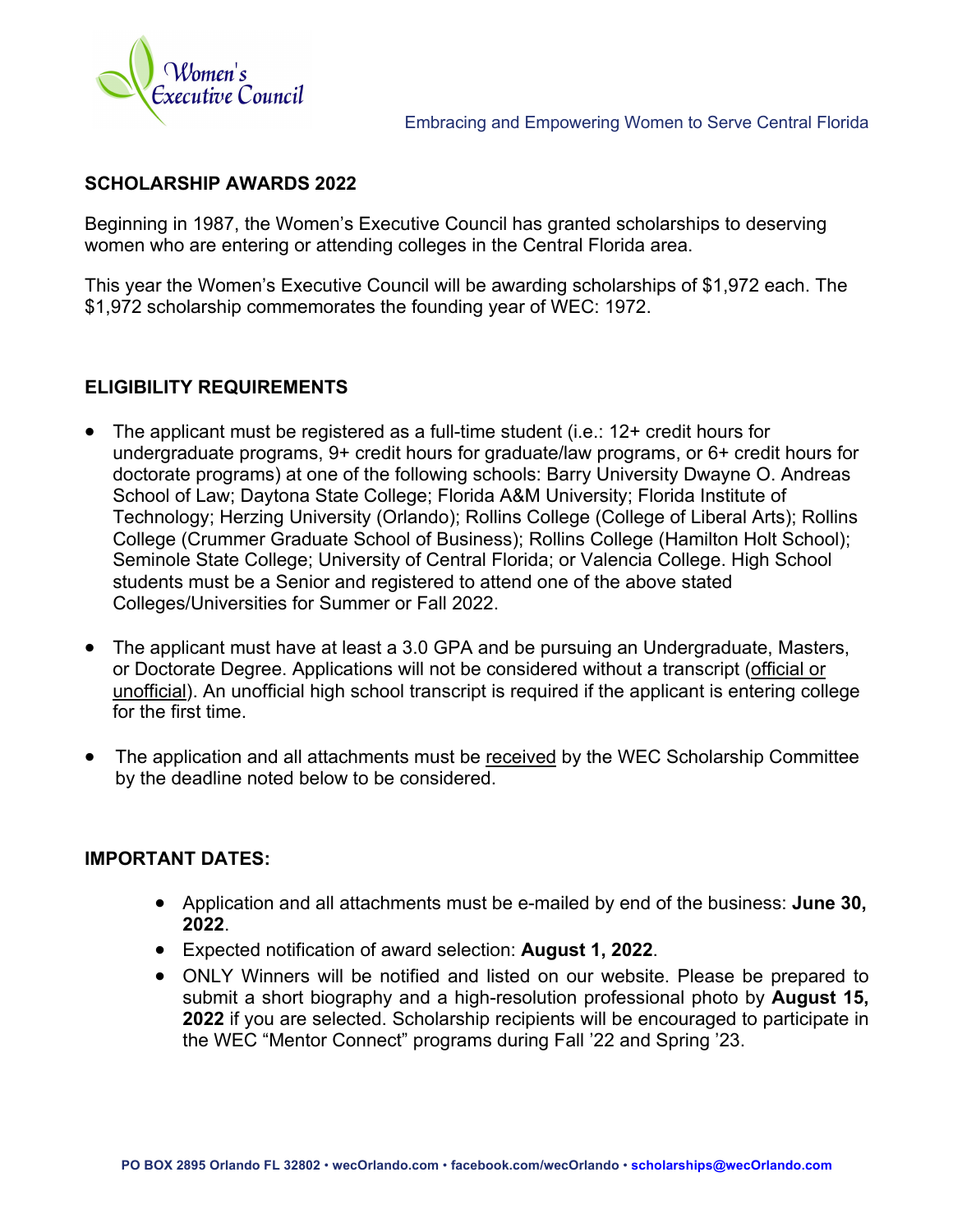

# **SCHOLARSHIP AWARDS 2022**

Beginning in 1987, the Women's Executive Council has granted scholarships to deserving women who are entering or attending colleges in the Central Florida area.

This year the Women's Executive Council will be awarding scholarships of \$1,972 each. The \$1,972 scholarship commemorates the founding year of WEC: 1972.

# **ELIGIBILITY REQUIREMENTS**

- The applicant must be registered as a full-time student (i.e.: 12+ credit hours for undergraduate programs, 9+ credit hours for graduate/law programs, or 6+ credit hours for doctorate programs) at one of the following schools: Barry University Dwayne O. Andreas School of Law; Daytona State College; Florida A&M University; Florida Institute of Technology; Herzing University (Orlando); Rollins College (College of Liberal Arts); Rollins College (Crummer Graduate School of Business); Rollins College (Hamilton Holt School); Seminole State College; University of Central Florida; or Valencia College. High School students must be a Senior and registered to attend one of the above stated Colleges/Universities for Summer or Fall 2022.
- The applicant must have at least a 3.0 GPA and be pursuing an Undergraduate, Masters, or Doctorate Degree. Applications will not be considered without a transcript (official or unofficial). An unofficial high school transcript is required if the applicant is entering college for the first time.
- The application and all attachments must be received by the WEC Scholarship Committee by the deadline noted below to be considered.

# **IMPORTANT DATES:**

- Application and all attachments must be e-mailed by end of the business: **June 30, 2022**.
- Expected notification of award selection: **August 1, 2022**.
- ONLY Winners will be notified and listed on our website. Please be prepared to submit a short biography and a high-resolution professional photo by **August 15, 2022** if you are selected. Scholarship recipients will be encouraged to participate in the WEC "Mentor Connect" programs during Fall '22 and Spring '23.